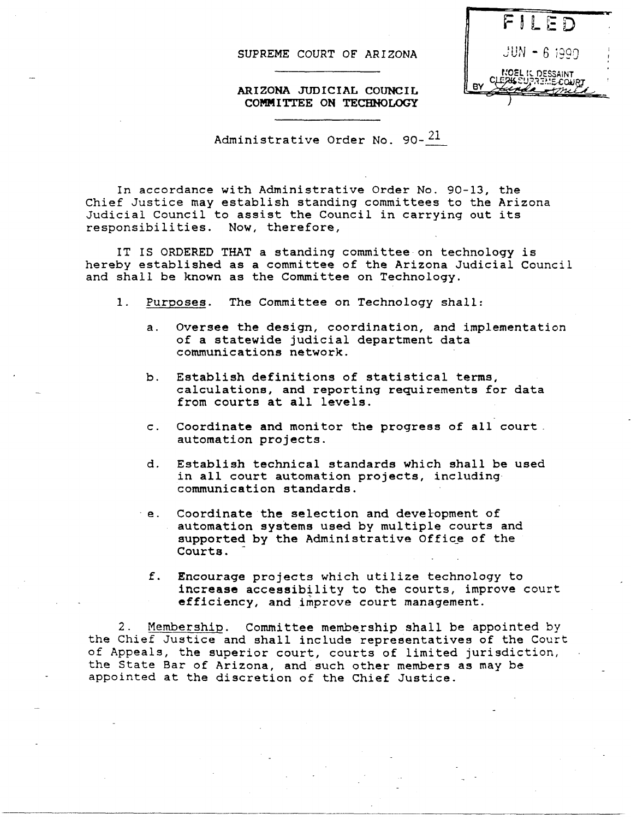SUPREME COURT OF ARIZONA



ARIZONA JUDICIAL COUNCIL COMMI'ITEE ON TECHNOLOGY

Administrative Order No. 90- $^{21}$ 

In accordance with Administrative Order No. 90-13, the Chief Justice may establish standing committees to the Arizona Judicial Council to assist the Council in carrying out its responsibilities. Now, therefore,

IT IS ORDERED THAT a standing committee on technology is hereby established as a committee of the Arizona JUdicial Council and shall be known as the Committee on Technology.

- 1. Purposes. The Committee on Technology shall:
	- a. Oversee the design, coordination, and implementation of a statewide judicial department data communications network.
	- b. Establish definitions of statistical terms, calculations, and reporting requirements for data from courts at all levels.
	- c. Coordinate and monitor the progress of all court. automation projects.
	- d. Establish technical standards which shall be used in all court automation projects, including communication standards.
	- e. Coordinate the selection and development of automation systems used by multiple courts and supported by the Administrative Office of the Courts.
		- f. Encourage projects which utilize technology to increase accessibility to the courts, improve court efficiency, and improve court management.

2. Membership. Committee membership shall be appointed by the Chief Justice and shall include representatives of the Court of Appeals, the superior court, courts of limited jurisdiction, the State Bar of Arizona, and such other members as may be appointed at the discretion of the Chief Justice.